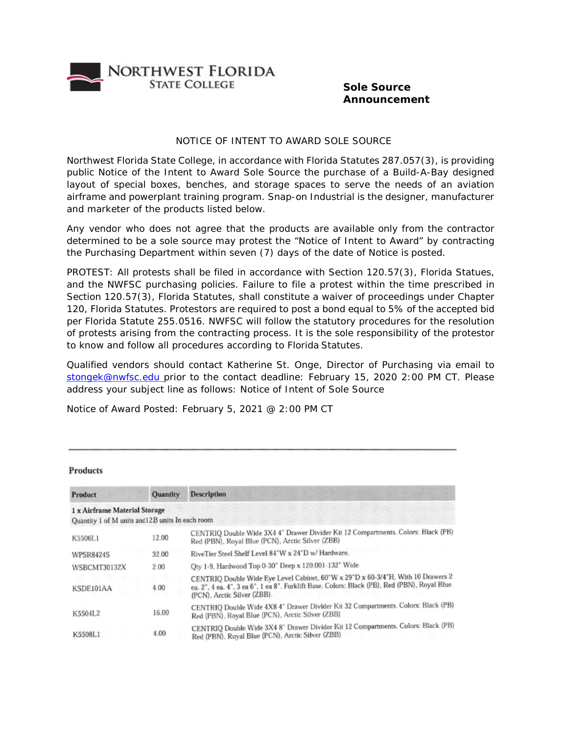

## **Sole Source Announcement**

## NOTICE OF INTENT TO AWARD SOLE SOURCE

Northwest Florida State College, in accordance with Florida Statutes 287.057(3), is providing public Notice of the Intent to Award Sole Source the purchase of a Build-A-Bay designed layout of special boxes, benches, and storage spaces to serve the needs of an aviation airframe and powerplant training program. Snap-on Industrial is the designer, manufacturer and marketer of the products listed below.

Any vendor who does not agree that the products are available only from the contractor determined to be a sole source may protest the "Notice of Intent to Award" by contracting the Purchasing Department within seven (7) days of the date of Notice is posted.

PROTEST: All protests shall be filed in accordance with Section 120.57(3), Florida Statues, and the NWFSC purchasing policies. Failure to file a protest within the time prescribed in Section 120.57(3), Florida Statutes, shall constitute a waiver of proceedings under Chapter 120, Florida Statutes. Protestors are required to post a bond equal to 5% of the accepted bid per Florida Statute 255.0516. NWFSC will follow the statutory procedures for the resolution of protests arising from the contracting process. It is the sole responsibility of the protestor to know and follow all procedures according to Florida Statutes.

Qualified vendors should contact Katherine St. Onge, Director of Purchasing via email to [stongek@nwfsc.edu p](mailto:stongek@nwfsc.edu)rior to the contact deadline: February 15, 2020 2:00 PM CT. Please address your subject line as follows: Notice of Intent of Sole Source

Notice of Award Posted: February 5, 2021 @ 2:00 PM CT

| Product                                          | <b>Quantity</b> | WERD HERE IN THE POST EXPLOSIVE THE PERSON RELEASED<br><b>Description</b>                                                                                                                                       |
|--------------------------------------------------|-----------------|-----------------------------------------------------------------------------------------------------------------------------------------------------------------------------------------------------------------|
| 1 x Airframe Material Storage                    |                 | The same and the same of the same<br>384                                                                                                                                                                        |
| Quantity 1 of M units and 12B units In each room |                 | e name and the state of the company                                                                                                                                                                             |
| K5506L1                                          | 12.00           | CENTRIQ Double Wide 3X4 4" Drawer Divider Kit 12 Compartments. Colors: Black (PB)<br>Red (PBN), Royal Blue (PCN), Arctic Silver (ZBB)                                                                           |
| <b>WPSR8424S</b>                                 | 32.00           | RiveTier Steel Shelf Level 84"W x 24"D w/ Hardware.                                                                                                                                                             |
| WSBCMT30132X                                     | 2.00            | Qty 1-9, Hardwood Top 0-30" Deep x 120.001-132" Wide                                                                                                                                                            |
| KSDE101AA                                        | 4.00            | CENTRIQ Double Wide Eye Level Cabinet, 60"W x 29"D x 60-3/4"H, With 10 Drawers 2<br>ea. 2", 4 ea. 4", 3 ea 6", 1 ea 8". Forklift Base. Colors: Black (PB), Red (PBN), Royal Blue<br>(PCN), Arctic Silver (ZBB). |
| K5504L2                                          | 16.00           | CENTRIQ Double Wide 4X8 4" Drawer Divider Kit 32 Compartments. Colors: Black (PB)<br>Red (PBN), Royal Blue (PCN), Arctic Silver (ZBB)                                                                           |
| K5508L1                                          | 4.00            | CENTRIQ Double Wide 3X4 8" Drawer Divider Kit 12 Compartments. Colors: Black (PB)<br>Red (PBN), Royal Blue (PCN), Arctic Silver (ZBB)                                                                           |

## **Products**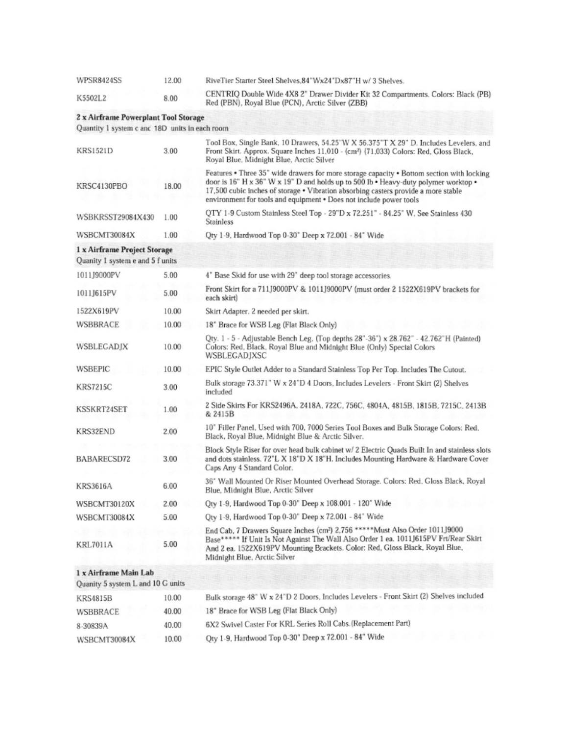| WPSR8424SS                                                       | 12.00 | RiveTier Starter Steel Shelves.84"Wx24"Dx87"H w/3 Shelves.                                                                                                                                                                                                                                                                                   |
|------------------------------------------------------------------|-------|----------------------------------------------------------------------------------------------------------------------------------------------------------------------------------------------------------------------------------------------------------------------------------------------------------------------------------------------|
| K5502L2                                                          | 8.00  | CENTRIQ Double Wide 4X8 2" Drawer Divider Kit 32 Compartments. Colors: Black (PB)<br>Red (PBN), Royal Blue (PCN), Arctic Silver (ZBB)                                                                                                                                                                                                        |
| 2 x Airframe Powerplant Tool Storage                             |       |                                                                                                                                                                                                                                                                                                                                              |
| Quantity 1 system c and 18D units in each room                   |       |                                                                                                                                                                                                                                                                                                                                              |
| <b>KRS1521D</b>                                                  | 3.00  | Tool Box, Single Bank, 10 Drawers, 54.25"W X 56.375"T X 29" D. Includes Levelers, and<br>Front Skirt. Approx. Square Inches 11,010 - (cm <sup>2</sup> ) (71,033) Colors: Red, Gloss Black,<br>Royal Blue, Midnight Blue, Arctic Silver                                                                                                       |
| KRSC4130PBO                                                      | 18.00 | Features . Three 35" wide drawers for more storage capacity . Bottom section with locking<br>door is 16" H x 36" W x 19" D and holds up to 500 lb . Heavy-duty polymer worktop .<br>17,500 cubic inches of storage • Vibration absorbing casters provide a more stable<br>environment for tools and equipment . Does not include power tools |
| WSBKRSST29084X430                                                | 1.00  | QTY 1-9 Custom Stainless Steel Top - 29"D x 72.251" - 84.25" W, See Stainless 430<br><b>Stainless</b>                                                                                                                                                                                                                                        |
| WSBCMT30084X                                                     | 1.00  | Qty 1-9, Hardwood Top 0-30" Deep x 72.001 - 84" Wide                                                                                                                                                                                                                                                                                         |
| 1 x Airframe Project Storage<br>Quanity 1 system e and 5 f units |       |                                                                                                                                                                                                                                                                                                                                              |
| 1011I9000PV                                                      | 5.00  | 4" Base Skid for use with 29" deep tool storage accessories.                                                                                                                                                                                                                                                                                 |
| 1011J615PV                                                       | 5.00  | Front Skirt for a 711J9000PV & 1011J9000PV (must order 2 1522X619PV brackets for<br>each skirt)                                                                                                                                                                                                                                              |
| 1522X619PV                                                       | 10.00 | Skirt Adapter. 2 needed per skirt.                                                                                                                                                                                                                                                                                                           |
| WSBBRACE                                                         | 10.00 | 18" Brace for WSB Leg (Flat Black Only)                                                                                                                                                                                                                                                                                                      |
| WSBLEGADJX                                                       | 10.00 | Qty. 1 - 5 - Adjustable Bench Leg, (Top depths 28"-36") x 28.762" - 42.762"H (Painted)<br>Colors: Red. Black. Royal Blue and Midnight Blue (Only) Special Colors<br>WSBLEGADJXSC                                                                                                                                                             |
| WSBEPIC                                                          | 10.00 | EPIC Style Outlet Adder to a Standard Stainless Top Per Top. Includes The Cutout.                                                                                                                                                                                                                                                            |
| <b>KRS7215C</b>                                                  | 3.00  | Bulk storage 73.371" W x 24"D 4 Doors, Includes Levelers - Front Skirt (2) Shelves<br>included                                                                                                                                                                                                                                               |
| KSSKRT24SET                                                      | 1.00  | 2 Side Skirts For KRS2496A. 2418A. 722C. 756C. 4804A. 4815B. 1815B. 7215C. 2413B<br>& 2415B                                                                                                                                                                                                                                                  |
| KRS32END                                                         | 2.00  | 10" Filler Panel, Used with 700, 7000 Series Tool Boxes and Bulk Storage Colors: Red.<br>Black, Royal Blue, Midnight Blue & Arctic Silver.                                                                                                                                                                                                   |
| BABARECSD72                                                      | 3.00  | Block Style Riser for over head bulk cabinet w/ 2 Electric Quads Built In and stainless slots<br>and dots stainless. 72"L X 18"D X 18"H. Includes Mounting Hardware & Hardware Cover<br>Caps Any 4 Standard Color.                                                                                                                           |
| <b>KRS3616A</b>                                                  | 6.00  | 36" Wall Mounted Or Riser Mounted Overhead Storage. Colors: Red, Gloss Black, Royal<br>Blue, Midnight Blue, Arctic Silver                                                                                                                                                                                                                    |
| WSBCMT30120X                                                     | 2.00  | Oty 1-9, Hardwood Top 0-30" Deep x 108.001 - 120" Wide                                                                                                                                                                                                                                                                                       |
| WSBCMT30084X                                                     | 5.00  | Qty 1-9, Hardwood Top 0-30" Deep x 72.001 - 84" Wide                                                                                                                                                                                                                                                                                         |
| <b>KRL7011A</b>                                                  | 5.00  | End Cab, 7 Drawers Square Inches (cm <sup>2</sup> ) 2,756 ***** Must Also Order 1011J9000<br>Base***** If Unit Is Not Against The Wall Also Order 1 ea. 1011J615PV Frt/Rear Skirt<br>And 2 ea. 1522X619PV Mounting Brackets. Color: Red, Gloss Black, Royal Blue,<br>Midnight Blue, Arctic Silver                                            |
| 1 x Airframe Main Lab<br>Quanity 5 system L and 10 G units       |       | <b>PARTICIPATION IN A REPORT OF A PROPERTY</b>                                                                                                                                                                                                                                                                                               |
| KRS4815B                                                         | 10.00 | Bulk storage 48" W x 24"D 2 Doors, Includes Levelers - Front Skirt (2) Shelves included                                                                                                                                                                                                                                                      |
| WSBBRACE                                                         | 40.00 | 18" Brace for WSB Leg (Flat Black Only)                                                                                                                                                                                                                                                                                                      |
| 8-30839A                                                         | 40.00 | 6X2 Swivel Caster For KRL Series Roll Cabs. (Replacement Part)                                                                                                                                                                                                                                                                               |
| WSBCMT30084X                                                     | 10.00 | Qty 1-9, Hardwood Top 0-30" Deep x 72.001 - 84" Wide                                                                                                                                                                                                                                                                                         |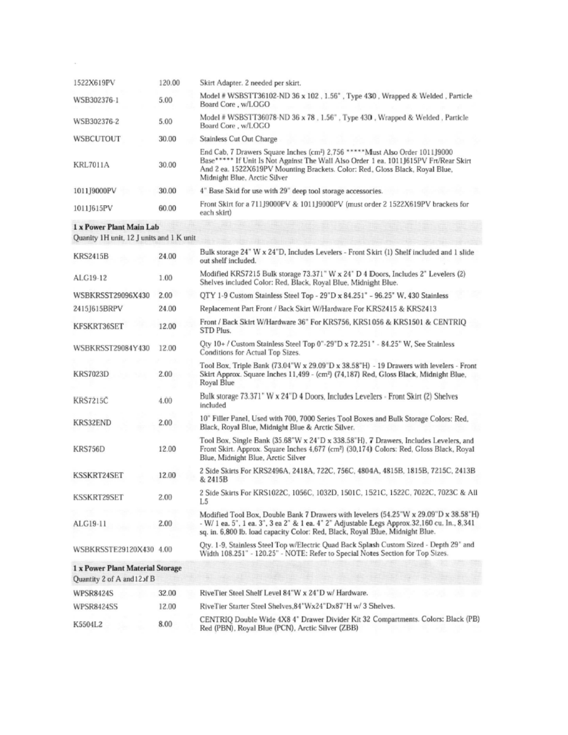| 1522X619PV      | 120.00 | Skirt Adapter. 2 needed per skirt.                                                                                                                                                                                                                                                                |
|-----------------|--------|---------------------------------------------------------------------------------------------------------------------------------------------------------------------------------------------------------------------------------------------------------------------------------------------------|
| WSB302376-1     | 5.00   | Model # WSBSTT36102-ND 36 x 102, 1.56", Type 430, Wrapped & Welded, Particle<br>Board Core, w/LOGO                                                                                                                                                                                                |
| WSB302376-2     | 5.00   | Model # WSBSTT36078-ND 36 x 78, 1.56", Type 430, Wrapped & Welded, Particle<br>Board Core, w/LOGO                                                                                                                                                                                                 |
| WSBCUTOUT       | 30.00  | Stainless Cut Out Charge                                                                                                                                                                                                                                                                          |
| <b>KRL7011A</b> | 30.00  | End Cab. 7 Drawers Square Inches (cm <sup>2</sup> ) 2.756 *****Must Also Order 1011J9000<br>Base***** If Unit Is Not Against The Wall Also Order 1 ea. 1011J615PV Frt/Rear Skirt<br>And 2 ea. 1522X619PV Mounting Brackets. Color: Red., Gloss Black, Royal Blue,<br>Midnight Blue, Arctic Silver |
| 1011J9000PV     | 30.00  | 4" Base Skid for use with 29" deep tool storage accessories.                                                                                                                                                                                                                                      |
| 1011J615PV      | 60.00  | Front Skirt for a 71119000PV & 101119000PV (must order 2 1522X619PV brackets for<br>each skirt)                                                                                                                                                                                                   |

## 1 x Power Plant Main Lab

Quanity 1H unit, 12 J units and 1 K unit

| <b>KRS2415B</b>                                                 | 24.00 | Bulk storage 24" W x 24"D, Includes Levelers - Front Skirt (1) Shelf included and 1 slide<br>out shelf included.                                                                                                                                                     |
|-----------------------------------------------------------------|-------|----------------------------------------------------------------------------------------------------------------------------------------------------------------------------------------------------------------------------------------------------------------------|
| ALG19-12                                                        | 1.00  | Modified KRS7215 Bulk storage 73.371" W x 24" D 4 Doors, Includes 2" Levelers (2)<br>Shelves included Color: Red. Black. Royal Blue. Midnight Blue.                                                                                                                  |
| WSBKRSST29096X430                                               | 2.00  | OTY 1-9 Custom Stainless Steel Top - 29"D x 84.251" - 96.25" W, 430 Stainless                                                                                                                                                                                        |
| 2415J615BRPV                                                    | 24.00 | Replacement Part Front / Back Skirt W/Hardware For KRS2415 & KRS2413                                                                                                                                                                                                 |
| KFSKRT36SET                                                     | 12.00 | Front / Back Skirt W/Hardware 36" For KRS756, KRS1056 & KRS1501 & CENTRIO<br>STD Plus.                                                                                                                                                                               |
| WSBKRSST29084Y430                                               | 12.00 | Qty 10+ / Custom Stainless Steel Top 0"-29"D x 72.251" - 84.25" W, See Stainless<br>Conditions for Actual Top Sizes.                                                                                                                                                 |
| <b>KRS7023D</b>                                                 | 2.00  | Tool Box, Triple Bank (73.04"W x 29.09"D x 38.58"H) - 19 Drawers with levelers - Front<br>Skirt Approx. Square Inches 11,499 - (cm <sup>2</sup> ) (74,187) Red, Gloss Black, Midnight Blue,<br>Royal Blue                                                            |
| <b>KRS7215C</b>                                                 | 4.00  | Bulk storage 73.371" W x 24"D 4 Doors, Includes Levelers - Front Skirt (2) Shelves<br>included                                                                                                                                                                       |
| KRS32END                                                        | 2.00  | 10" Filler Panel, Used with 700, 7000 Series Tool Boxes and Bulk Storage Colors: Red,<br>Black, Royal Blue, Midnight Blue & Arctic Silver.                                                                                                                           |
| KRS756D                                                         | 12.00 | Tool Box, Single Bank (35.68"W x 24"D x 338.58"H), 7 Drawers, Includes Levelers, and<br>Front Skirt. Approx. Square Inches 4,677 (cm <sup>2</sup> ) (30,174) Colors: Red, Gloss Black, Royal<br>Blue, Midnight Blue, Arctic Silver                                   |
| <b>KSSKRT24SET</b>                                              | 12.00 | 2 Side Skirts For KRS2496A, 2418A, 722C, 756C, 4804A, 4815B, 1815B, 7215C, 2413B<br>& 2415B                                                                                                                                                                          |
| KSSKRT29SET                                                     | 2.00  | 2 Side Skirts For KRS1022C, 1056C, 1032D, 1501C, 1521C, 1522C, 7022C, 7023C & All<br>L5                                                                                                                                                                              |
| ALG19-11                                                        | 2.00  | Modified Tool Box, Double Bank 7 Drawers with levelers (54.25"W x 29.09"D x 38.58"H)<br>- W/ 1 ea. 5", 1 ea. 3", 3 ea 2" & 1 ea. 4" 2" Adjustable Legs Approx.32,160 cu. In., 8,341<br>sq. in. 6,800 lb. load capacity Color: Red, Black, Royal Blue, Midnight Blue. |
| WSBKRSSTE29120X430 4.00                                         |       | Otv. 1-9, Stainless Steel Top w/Electric Quad Back Splash Custom Sized - Depth 29" and<br>Width 108.251" - 120.25" - NOTE: Refer to Special Notes Section for Top Sizes.                                                                                             |
| 1 x Power Plant Material Storage<br>Quantity 2 of A and 12 of B |       |                                                                                                                                                                                                                                                                      |
| <b>WPSR8424S</b>                                                | 32.00 | RiveTier Steel Shelf Level 84"W x 24"D w/ Hardware.                                                                                                                                                                                                                  |
| <b>WPSR8424SS</b>                                               | 12.00 | RiveTier Starter Steel Shelves.84"Wx24"Dx87"H w/ 3 Shelves.                                                                                                                                                                                                          |
| K5504L2                                                         | 8.00  | CENTRIQ Double Wide 4X8 4" Drawer Divider Kit 32 Compartments. Colors: Black (PB)<br>Red (PBN), Royal Blue (PCN), Arctic Silver (ZBB)                                                                                                                                |